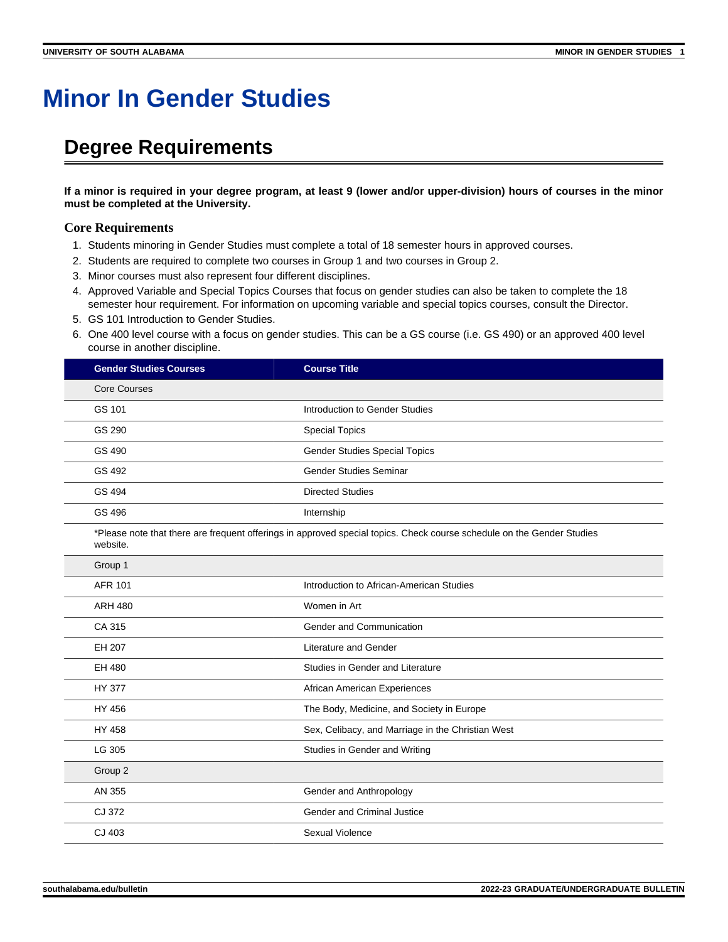## **Minor In Gender Studies**

## **Degree Requirements**

**If a minor is required in your degree program, at least 9 (lower and/or upper-division) hours of courses in the minor must be completed at the University.**

## **Core Requirements**

- 1. Students minoring in Gender Studies must complete a total of 18 semester hours in approved courses.
- 2. Students are required to complete two courses in Group 1 and two courses in Group 2.
- 3. Minor courses must also represent four different disciplines.
- 4. Approved Variable and Special Topics Courses that focus on gender studies can also be taken to complete the 18 semester hour requirement. For information on upcoming variable and special topics courses, consult the Director.
- 5. GS 101 Introduction to Gender Studies.
- 6. One 400 level course with a focus on gender studies. This can be a GS course (i.e. GS 490) or an approved 400 level course in another discipline.

| <b>Gender Studies Courses</b>                                                                                                      | <b>Course Title</b>                               |
|------------------------------------------------------------------------------------------------------------------------------------|---------------------------------------------------|
| <b>Core Courses</b>                                                                                                                |                                                   |
| GS 101                                                                                                                             | Introduction to Gender Studies                    |
| GS 290                                                                                                                             | <b>Special Topics</b>                             |
| GS 490                                                                                                                             | <b>Gender Studies Special Topics</b>              |
| GS 492                                                                                                                             | <b>Gender Studies Seminar</b>                     |
| GS 494                                                                                                                             | <b>Directed Studies</b>                           |
| GS 496                                                                                                                             | Internship                                        |
| *Please note that there are frequent offerings in approved special topics. Check course schedule on the Gender Studies<br>website. |                                                   |
| Group 1                                                                                                                            |                                                   |
| <b>AFR 101</b>                                                                                                                     | Introduction to African-American Studies          |
| <b>ARH 480</b>                                                                                                                     | Women in Art                                      |
| CA 315                                                                                                                             | Gender and Communication                          |
| EH 207                                                                                                                             | <b>Literature and Gender</b>                      |
| EH 480                                                                                                                             | Studies in Gender and Literature                  |
| <b>HY 377</b>                                                                                                                      | African American Experiences                      |
| HY 456                                                                                                                             | The Body, Medicine, and Society in Europe         |
| HY 458                                                                                                                             | Sex, Celibacy, and Marriage in the Christian West |
| LG 305                                                                                                                             | Studies in Gender and Writing                     |
| Group 2                                                                                                                            |                                                   |
| AN 355                                                                                                                             | Gender and Anthropology                           |
| CJ 372                                                                                                                             | <b>Gender and Criminal Justice</b>                |
| CJ 403                                                                                                                             | Sexual Violence                                   |